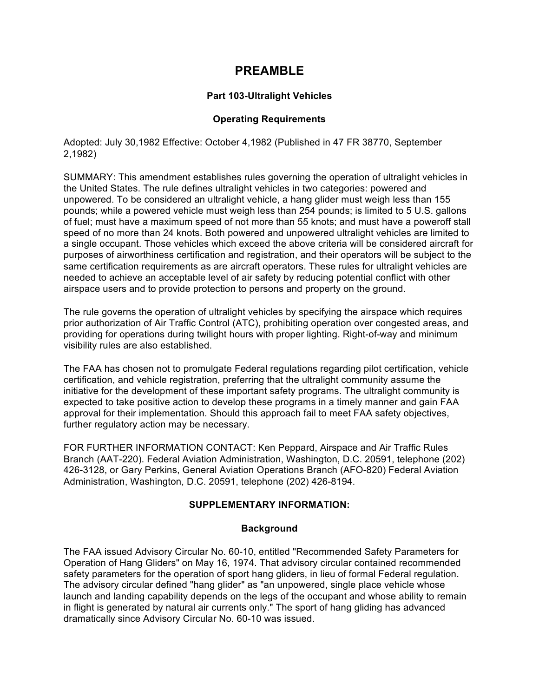## **PREAMBLE**

## **Part 103-Ultralight Vehicles**

## **Operating Requirements**

Adopted: July 30,1982 Effective: October 4,1982 (Published in 47 FR 38770, September 2,1982)

SUMMARY: This amendment establishes rules governing the operation of ultralight vehicles in the United States. The rule defines ultralight vehicles in two categories: powered and unpowered. To be considered an ultralight vehicle, a hang glider must weigh less than 155 pounds; while a powered vehicle must weigh less than 254 pounds; is limited to 5 U.S. gallons of fuel; must have a maximum speed of not more than 55 knots; and must have a poweroff stall speed of no more than 24 knots. Both powered and unpowered ultralight vehicles are limited to a single occupant. Those vehicles which exceed the above criteria will be considered aircraft for purposes of airworthiness certification and registration, and their operators will be subject to the same certification requirements as are aircraft operators. These rules for ultralight vehicles are needed to achieve an acceptable level of air safety by reducing potential conflict with other airspace users and to provide protection to persons and property on the ground.

The rule governs the operation of ultralight vehicles by specifying the airspace which requires prior authorization of Air Traffic Control (ATC), prohibiting operation over congested areas, and providing for operations during twilight hours with proper lighting. Right-of-way and minimum visibility rules are also established.

The FAA has chosen not to promulgate Federal regulations regarding pilot certification, vehicle certification, and vehicle registration, preferring that the ultralight community assume the initiative for the development of these important safety programs. The ultralight community is expected to take positive action to develop these programs in a timely manner and gain FAA approval for their implementation. Should this approach fail to meet FAA safety objectives, further regulatory action may be necessary.

FOR FURTHER INFORMATION CONTACT: Ken Peppard, Airspace and Air Traffic Rules Branch (AAT-220). Federal Aviation Administration, Washington, D.C. 20591, telephone (202) 426-3128, or Gary Perkins, General Aviation Operations Branch (AFO-820) Federal Aviation Administration, Washington, D.C. 20591, telephone (202) 426-8194.

## **SUPPLEMENTARY INFORMATION:**

#### **Background**

The FAA issued Advisory Circular No. 60-10, entitled "Recommended Safety Parameters for Operation of Hang Gliders" on May 16, 1974. That advisory circular contained recommended safety parameters for the operation of sport hang gliders, in lieu of formal Federal regulation. The advisory circular defined "hang glider" as "an unpowered, single place vehicle whose launch and landing capability depends on the legs of the occupant and whose ability to remain in flight is generated by natural air currents only." The sport of hang gliding has advanced dramatically since Advisory Circular No. 60-10 was issued.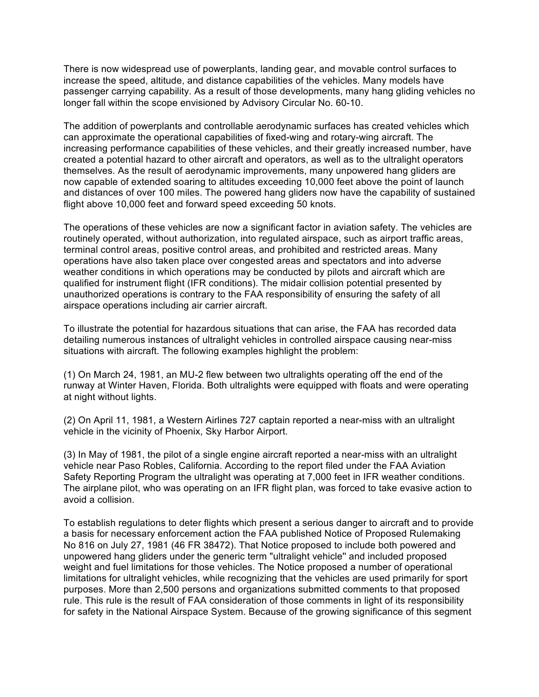There is now widespread use of powerplants, landing gear, and movable control surfaces to increase the speed, altitude, and distance capabilities of the vehicles. Many models have passenger carrying capability. As a result of those developments, many hang gliding vehicles no longer fall within the scope envisioned by Advisory Circular No. 60-10.

The addition of powerplants and controllable aerodynamic surfaces has created vehicles which can approximate the operational capabilities of fixed-wing and rotary-wing aircraft. The increasing performance capabilities of these vehicles, and their greatly increased number, have created a potential hazard to other aircraft and operators, as well as to the ultralight operators themselves. As the result of aerodynamic improvements, many unpowered hang gliders are now capable of extended soaring to altitudes exceeding 10,000 feet above the point of launch and distances of over 100 miles. The powered hang gliders now have the capability of sustained flight above 10,000 feet and forward speed exceeding 50 knots.

The operations of these vehicles are now a significant factor in aviation safety. The vehicles are routinely operated, without authorization, into regulated airspace, such as airport traffic areas, terminal control areas, positive control areas, and prohibited and restricted areas. Many operations have also taken place over congested areas and spectators and into adverse weather conditions in which operations may be conducted by pilots and aircraft which are qualified for instrument flight (IFR conditions). The midair collision potential presented by unauthorized operations is contrary to the FAA responsibility of ensuring the safety of all airspace operations including air carrier aircraft.

To illustrate the potential for hazardous situations that can arise, the FAA has recorded data detailing numerous instances of ultralight vehicles in controlled airspace causing near-miss situations with aircraft. The following examples highlight the problem:

(1) On March 24, 1981, an MU-2 flew between two ultralights operating off the end of the runway at Winter Haven, Florida. Both ultralights were equipped with floats and were operating at night without lights.

(2) On April 11, 1981, a Western Airlines 727 captain reported a near-miss with an ultralight vehicle in the vicinity of Phoenix, Sky Harbor Airport.

(3) In May of 1981, the pilot of a single engine aircraft reported a near-miss with an ultralight vehicle near Paso Robles, California. According to the report filed under the FAA Aviation Safety Reporting Program the ultralight was operating at 7,000 feet in IFR weather conditions. The airplane pilot, who was operating on an IFR flight plan, was forced to take evasive action to avoid a collision.

To establish regulations to deter flights which present a serious danger to aircraft and to provide a basis for necessary enforcement action the FAA published Notice of Proposed Rulemaking No 816 on July 27, 1981 (46 FR 38472). That Notice proposed to include both powered and unpowered hang gliders under the generic term "ultralight vehicle'' and included proposed weight and fuel limitations for those vehicles. The Notice proposed a number of operational limitations for ultralight vehicles, while recognizing that the vehicles are used primarily for sport purposes. More than 2,500 persons and organizations submitted comments to that proposed rule. This rule is the result of FAA consideration of those comments in light of its responsibility for safety in the National Airspace System. Because of the growing significance of this segment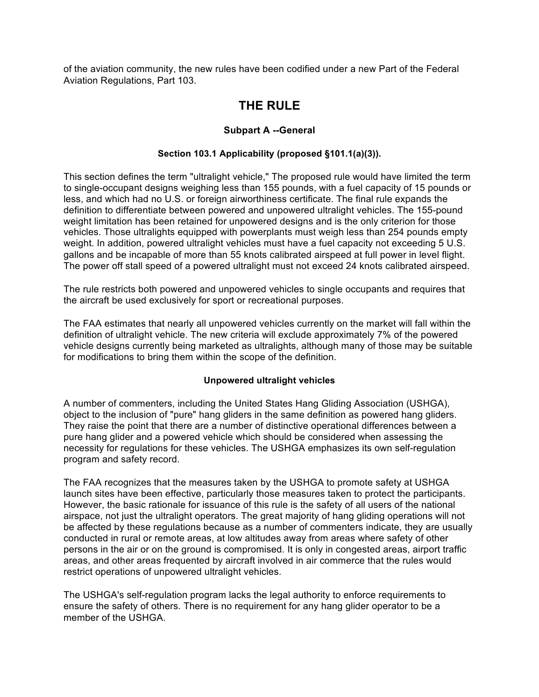of the aviation community, the new rules have been codified under a new Part of the Federal Aviation Regulations, Part 103.

# **THE RULE**

## **Subpart A --General**

## **Section 103.1 Applicability (proposed §101.1(a)(3)).**

This section defines the term "ultralight vehicle," The proposed rule would have limited the term to single-occupant designs weighing less than 155 pounds, with a fuel capacity of 15 pounds or less, and which had no U.S. or foreign airworthiness certificate. The final rule expands the definition to differentiate between powered and unpowered ultralight vehicles. The 155-pound weight limitation has been retained for unpowered designs and is the only criterion for those vehicles. Those ultralights equipped with powerplants must weigh less than 254 pounds empty weight. In addition, powered ultralight vehicles must have a fuel capacity not exceeding 5 U.S. gallons and be incapable of more than 55 knots calibrated airspeed at full power in level flight. The power off stall speed of a powered ultralight must not exceed 24 knots calibrated airspeed.

The rule restricts both powered and unpowered vehicles to single occupants and requires that the aircraft be used exclusively for sport or recreational purposes.

The FAA estimates that nearly all unpowered vehicles currently on the market will fall within the definition of ultralight vehicle. The new criteria will exclude approximately 7% of the powered vehicle designs currently being marketed as ultralights, although many of those may be suitable for modifications to bring them within the scope of the definition.

## **Unpowered ultralight vehicles**

A number of commenters, including the United States Hang Gliding Association (USHGA), object to the inclusion of "pure" hang gliders in the same definition as powered hang gliders. They raise the point that there are a number of distinctive operational differences between a pure hang glider and a powered vehicle which should be considered when assessing the necessity for regulations for these vehicles. The USHGA emphasizes its own self-regulation program and safety record.

The FAA recognizes that the measures taken by the USHGA to promote safety at USHGA launch sites have been effective, particularly those measures taken to protect the participants. However, the basic rationale for issuance of this rule is the safety of all users of the national airspace, not just the ultralight operators. The great majority of hang gliding operations will not be affected by these regulations because as a number of commenters indicate, they are usually conducted in rural or remote areas, at low altitudes away from areas where safety of other persons in the air or on the ground is compromised. It is only in congested areas, airport traffic areas, and other areas frequented by aircraft involved in air commerce that the rules would restrict operations of unpowered ultralight vehicles.

The USHGA's self-regulation program lacks the legal authority to enforce requirements to ensure the safety of others. There is no requirement for any hang glider operator to be a member of the USHGA.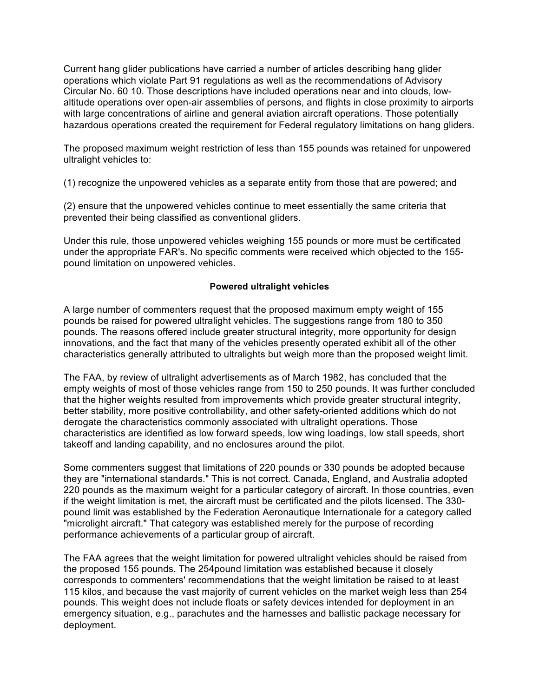Current hang glider publications have carried a number of articles describing hang glider operations which violate Part 91 regulations as well as the recommendations of Advisory Circular No. 60 10. Those descriptions have included operations near and into clouds, lowaltitude operations over open-air assemblies of persons, and flights in close proximity to airports with large concentrations of airline and general aviation aircraft operations. Those potentially hazardous operations created the requirement for Federal regulatory limitations on hang gliders.

The proposed maximum weight restriction of less than 155 pounds was retained for unpowered ultralight vehicles to:

(1) recognize the unpowered vehicles as a separate entity from those that are powered; and

(2) ensure that the unpowered vehicles continue to meet essentially the same criteria that prevented their being classified as conventional gliders.

Under this rule, those unpowered vehicles weighing 155 pounds or more must be certificated under the appropriate FAR's. No specific comments were received which objected to the 155 pound limitation on unpowered vehicles.

## **Powered ultralight vehicles**

A large number of commenters request that the proposed maximum empty weight of 155 pounds be raised for powered ultralight vehicles. The suggestions range from 180 to 350 pounds. The reasons offered include greater structural integrity, more opportunity for design innovations, and the fact that many of the vehicles presently operated exhibit all of the other characteristics generally attributed to ultralights but weigh more than the proposed weight limit.

The FAA, by review of ultralight advertisements as of March 1982, has concluded that the empty weights of most of those vehicles range from 150 to 250 pounds. It was further concluded that the higher weights resulted from improvements which provide greater structural integrity, better stability, more positive controllability, and other safety-oriented additions which do not derogate the characteristics commonly associated with ultralight operations. Those characteristics are identified as low forward speeds, low wing loadings, low stall speeds, short takeoff and landing capability, and no enclosures around the pilot.

Some commenters suggest that limitations of 220 pounds or 330 pounds be adopted because they are "international standards." This is not correct. Canada, England, and Australia adopted 220 pounds as the maximum weight for a particular category of aircraft. In those countries, even if the weight limitation is met, the aircraft must be certificated and the pilots licensed. The 330 pound limit was established by the Federation Aeronautique Internationale for a category called "microlight aircraft." That category was established merely for the purpose of recording performance achievements of a particular group of aircraft.

The FAA agrees that the weight limitation for powered ultralight vehicles should be raised from the proposed 155 pounds. The 254pound limitation was established because it closely corresponds to commenters' recommendations that the weight limitation be raised to at least 115 kilos, and because the vast majority of current vehicles on the market weigh less than 254 pounds. This weight does not include floats or safety devices intended for deployment in an emergency situation, e.g., parachutes and the harnesses and ballistic package necessary for deployment.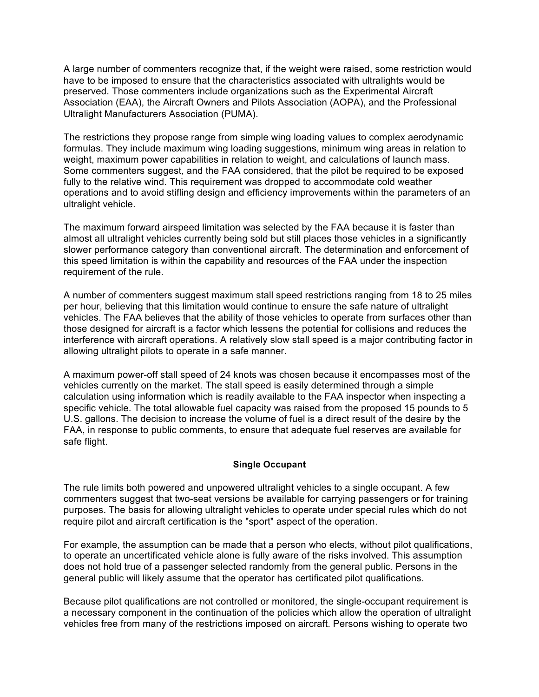A large number of commenters recognize that, if the weight were raised, some restriction would have to be imposed to ensure that the characteristics associated with ultralights would be preserved. Those commenters include organizations such as the Experimental Aircraft Association (EAA), the Aircraft Owners and Pilots Association (AOPA), and the Professional Ultralight Manufacturers Association (PUMA).

The restrictions they propose range from simple wing loading values to complex aerodynamic formulas. They include maximum wing loading suggestions, minimum wing areas in relation to weight, maximum power capabilities in relation to weight, and calculations of launch mass. Some commenters suggest, and the FAA considered, that the pilot be required to be exposed fully to the relative wind. This requirement was dropped to accommodate cold weather operations and to avoid stifling design and efficiency improvements within the parameters of an ultralight vehicle.

The maximum forward airspeed limitation was selected by the FAA because it is faster than almost all ultralight vehicles currently being sold but still places those vehicles in a significantly slower performance category than conventional aircraft. The determination and enforcement of this speed limitation is within the capability and resources of the FAA under the inspection requirement of the rule.

A number of commenters suggest maximum stall speed restrictions ranging from 18 to 25 miles per hour, believing that this limitation would continue to ensure the safe nature of ultralight vehicles. The FAA believes that the ability of those vehicles to operate from surfaces other than those designed for aircraft is a factor which lessens the potential for collisions and reduces the interference with aircraft operations. A relatively slow stall speed is a major contributing factor in allowing ultralight pilots to operate in a safe manner.

A maximum power-off stall speed of 24 knots was chosen because it encompasses most of the vehicles currently on the market. The stall speed is easily determined through a simple calculation using information which is readily available to the FAA inspector when inspecting a specific vehicle. The total allowable fuel capacity was raised from the proposed 15 pounds to 5 U.S. gallons. The decision to increase the volume of fuel is a direct result of the desire by the FAA, in response to public comments, to ensure that adequate fuel reserves are available for safe flight.

#### **Single Occupant**

The rule limits both powered and unpowered ultralight vehicles to a single occupant. A few commenters suggest that two-seat versions be available for carrying passengers or for training purposes. The basis for allowing ultralight vehicles to operate under special rules which do not require pilot and aircraft certification is the "sport" aspect of the operation.

For example, the assumption can be made that a person who elects, without pilot qualifications, to operate an uncertificated vehicle alone is fully aware of the risks involved. This assumption does not hold true of a passenger selected randomly from the general public. Persons in the general public will likely assume that the operator has certificated pilot qualifications.

Because pilot qualifications are not controlled or monitored, the single-occupant requirement is a necessary component in the continuation of the policies which allow the operation of ultralight vehicles free from many of the restrictions imposed on aircraft. Persons wishing to operate two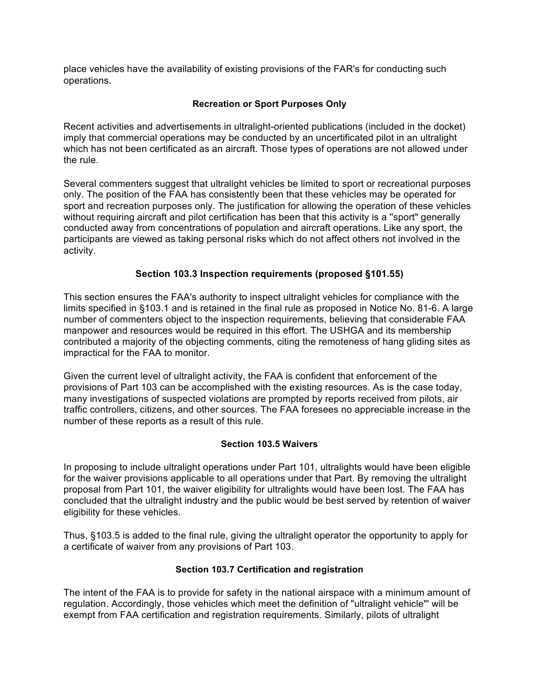place vehicles have the availability of existing provisions of the FAR's for conducting such operations.

## **Recreation or Sport Purposes Only**

Recent activities and advertisements in ultralight-oriented publications (included in the docket) imply that commercial operations may be conducted by an uncertificated pilot in an ultralight which has not been certificated as an aircraft. Those types of operations are not allowed under the rule.

Several commenters suggest that ultralight vehicles be limited to sport or recreational purposes only. The position of the FAA has consistently been that these vehicles may be operated for sport and recreation purposes only. The justification for allowing the operation of these vehicles without requiring aircraft and pilot certification has been that this activity is a "sport" generally conducted away from concentrations of population and aircraft operations. Like any sport, the participants are viewed as taking personal risks which do not affect others not involved in the activity.

## **Section 103.3 Inspection requirements (proposed §101.55)**

This section ensures the FAA's authority to inspect ultralight vehicles for compliance with the limits specified in §103.1 and is retained in the final rule as proposed in Notice No. 81-6. A large number of commenters object to the inspection requirements, believing that considerable FAA manpower and resources would be required in this effort. The USHGA and its membership contributed a majority of the objecting comments, citing the remoteness of hang gliding sites as impractical for the FAA to monitor.

Given the current level of ultralight activity, the FAA is confident that enforcement of the provisions of Part 103 can be accomplished with the existing resources. As is the case today, many investigations of suspected violations are prompted by reports received from pilots, air traffic controllers, citizens, and other sources. The FAA foresees no appreciable increase in the number of these reports as a result of this rule.

#### **Section 103.5 Waivers**

In proposing to include ultralight operations under Part 101, ultralights would have been eligible for the waiver provisions applicable to all operations under that Part. By removing the ultralight proposal from Part 101, the waiver eligibility for ultralights would have been lost. The FAA has concluded that the ultralight industry and the public would be best served by retention of waiver eligibility for these vehicles.

Thus, §103.5 is added to the final rule, giving the ultralight operator the opportunity to apply for a certificate of waiver from any provisions of Part 103.

#### **Section 103.7 Certification and registration**

The intent of the FAA is to provide for safety in the national airspace with a minimum amount of regulation. Accordingly, those vehicles which meet the definition of "ultralight vehicle"' will be exempt from FAA certification and registration requirements. Similarly, pilots of ultralight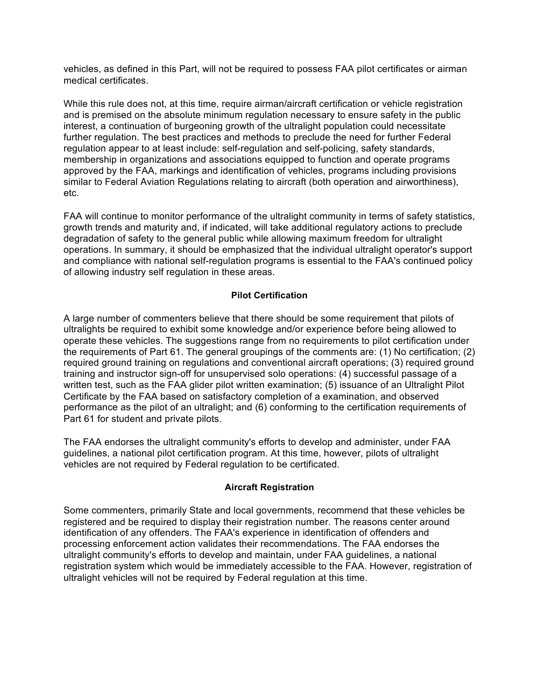vehicles, as defined in this Part, will not be required to possess FAA pilot certificates or airman medical certificates.

While this rule does not, at this time, require airman/aircraft certification or vehicle registration and is premised on the absolute minimum regulation necessary to ensure safety in the public interest, a continuation of burgeoning growth of the ultralight population could necessitate further regulation. The best practices and methods to preclude the need for further Federal regulation appear to at least include: self-regulation and self-policing, safety standards, membership in organizations and associations equipped to function and operate programs approved by the FAA, markings and identification of vehicles, programs including provisions similar to Federal Aviation Regulations relating to aircraft (both operation and airworthiness), etc.

FAA will continue to monitor performance of the ultralight community in terms of safety statistics, growth trends and maturity and, if indicated, will take additional regulatory actions to preclude degradation of safety to the general public while allowing maximum freedom for ultralight operations. In summary, it should be emphasized that the individual ultralight operator's support and compliance with national self-regulation programs is essential to the FAA's continued policy of allowing industry self regulation in these areas.

## **Pilot Certification**

A large number of commenters believe that there should be some requirement that pilots of ultralights be required to exhibit some knowledge and/or experience before being allowed to operate these vehicles. The suggestions range from no requirements to pilot certification under the requirements of Part 61. The general groupings of the comments are: (1) No certification; (2) required ground training on regulations and conventional aircraft operations; (3) required ground training and instructor sign-off for unsupervised solo operations: (4) successful passage of a written test, such as the FAA glider pilot written examination; (5) issuance of an Ultralight Pilot Certificate by the FAA based on satisfactory completion of a examination, and observed performance as the pilot of an ultralight; and (6) conforming to the certification requirements of Part 61 for student and private pilots.

The FAA endorses the ultralight community's efforts to develop and administer, under FAA guidelines, a national pilot certification program. At this time, however, pilots of ultralight vehicles are not required by Federal regulation to be certificated.

#### **Aircraft Registration**

Some commenters, primarily State and local governments, recommend that these vehicles be registered and be required to display their registration number. The reasons center around identification of any offenders. The FAA's experience in identification of offenders and processing enforcement action validates their recommendations. The FAA endorses the ultralight community's efforts to develop and maintain, under FAA guidelines, a national registration system which would be immediately accessible to the FAA. However, registration of ultralight vehicles will not be required by Federal regulation at this time.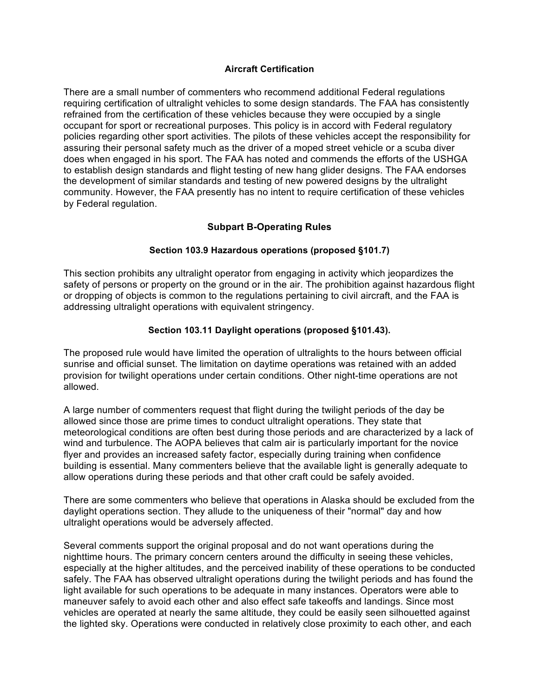#### **Aircraft Certification**

There are a small number of commenters who recommend additional Federal regulations requiring certification of ultralight vehicles to some design standards. The FAA has consistently refrained from the certification of these vehicles because they were occupied by a single occupant for sport or recreational purposes. This policy is in accord with Federal regulatory policies regarding other sport activities. The pilots of these vehicles accept the responsibility for assuring their personal safety much as the driver of a moped street vehicle or a scuba diver does when engaged in his sport. The FAA has noted and commends the efforts of the USHGA to establish design standards and flight testing of new hang glider designs. The FAA endorses the development of similar standards and testing of new powered designs by the ultralight community. However, the FAA presently has no intent to require certification of these vehicles by Federal regulation.

## **Subpart B-Operating Rules**

## **Section 103.9 Hazardous operations (proposed §101.7)**

This section prohibits any ultralight operator from engaging in activity which jeopardizes the safety of persons or property on the ground or in the air. The prohibition against hazardous flight or dropping of objects is common to the regulations pertaining to civil aircraft, and the FAA is addressing ultralight operations with equivalent stringency.

## **Section 103.11 Daylight operations (proposed §101.43).**

The proposed rule would have limited the operation of ultralights to the hours between official sunrise and official sunset. The limitation on daytime operations was retained with an added provision for twilight operations under certain conditions. Other night-time operations are not allowed.

A large number of commenters request that flight during the twilight periods of the day be allowed since those are prime times to conduct ultralight operations. They state that meteorological conditions are often best during those periods and are characterized by a lack of wind and turbulence. The AOPA believes that calm air is particularly important for the novice flyer and provides an increased safety factor, especially during training when confidence building is essential. Many commenters believe that the available light is generally adequate to allow operations during these periods and that other craft could be safely avoided.

There are some commenters who believe that operations in Alaska should be excluded from the daylight operations section. They allude to the uniqueness of their "normal" day and how ultralight operations would be adversely affected.

Several comments support the original proposal and do not want operations during the nighttime hours. The primary concern centers around the difficulty in seeing these vehicles, especially at the higher altitudes, and the perceived inability of these operations to be conducted safely. The FAA has observed ultralight operations during the twilight periods and has found the light available for such operations to be adequate in many instances. Operators were able to maneuver safely to avoid each other and also effect safe takeoffs and landings. Since most vehicles are operated at nearly the same altitude, they could be easily seen silhouetted against the lighted sky. Operations were conducted in relatively close proximity to each other, and each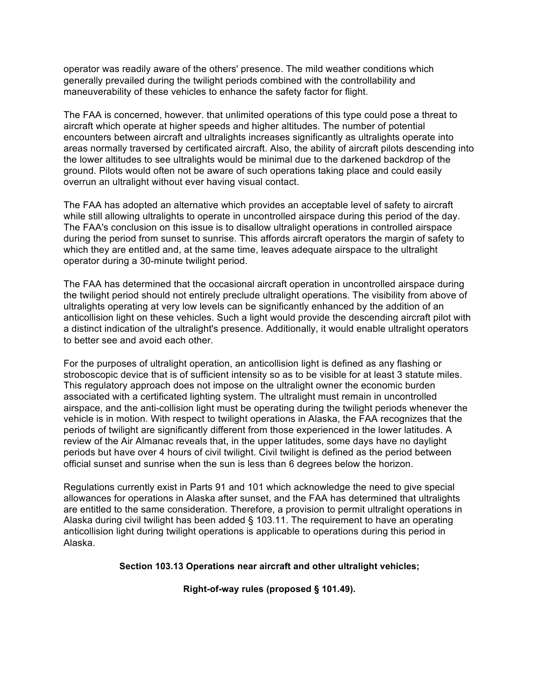operator was readily aware of the others' presence. The mild weather conditions which generally prevailed during the twilight periods combined with the controllability and maneuverability of these vehicles to enhance the safety factor for flight.

The FAA is concerned, however. that unlimited operations of this type could pose a threat to aircraft which operate at higher speeds and higher altitudes. The number of potential encounters between aircraft and ultralights increases significantly as ultralights operate into areas normally traversed by certificated aircraft. Also, the ability of aircraft pilots descending into the lower altitudes to see ultralights would be minimal due to the darkened backdrop of the ground. Pilots would often not be aware of such operations taking place and could easily overrun an ultralight without ever having visual contact.

The FAA has adopted an alternative which provides an acceptable level of safety to aircraft while still allowing ultralights to operate in uncontrolled airspace during this period of the day. The FAA's conclusion on this issue is to disallow ultralight operations in controlled airspace during the period from sunset to sunrise. This affords aircraft operators the margin of safety to which they are entitled and, at the same time, leaves adequate airspace to the ultralight operator during a 30-minute twilight period.

The FAA has determined that the occasional aircraft operation in uncontrolled airspace during the twilight period should not entirely preclude ultralight operations. The visibility from above of ultralights operating at very low levels can be significantly enhanced by the addition of an anticollision light on these vehicles. Such a light would provide the descending aircraft pilot with a distinct indication of the ultralight's presence. Additionally, it would enable ultralight operators to better see and avoid each other.

For the purposes of ultralight operation, an anticollision light is defined as any flashing or stroboscopic device that is of sufficient intensity so as to be visible for at least 3 statute miles. This regulatory approach does not impose on the ultralight owner the economic burden associated with a certificated lighting system. The ultralight must remain in uncontrolled airspace, and the anti-collision light must be operating during the twilight periods whenever the vehicle is in motion. With respect to twilight operations in Alaska, the FAA recognizes that the periods of twilight are significantly different from those experienced in the lower latitudes. A review of the Air Almanac reveals that, in the upper latitudes, some days have no daylight periods but have over 4 hours of civil twilight. Civil twilight is defined as the period between official sunset and sunrise when the sun is less than 6 degrees below the horizon.

Regulations currently exist in Parts 91 and 101 which acknowledge the need to give special allowances for operations in Alaska after sunset, and the FAA has determined that ultralights are entitled to the same consideration. Therefore, a provision to permit ultralight operations in Alaska during civil twilight has been added § 103.11. The requirement to have an operating anticollision light during twilight operations is applicable to operations during this period in Alaska.

#### **Section 103.13 Operations near aircraft and other ultralight vehicles;**

**Right-of-way rules (proposed § 101.49).**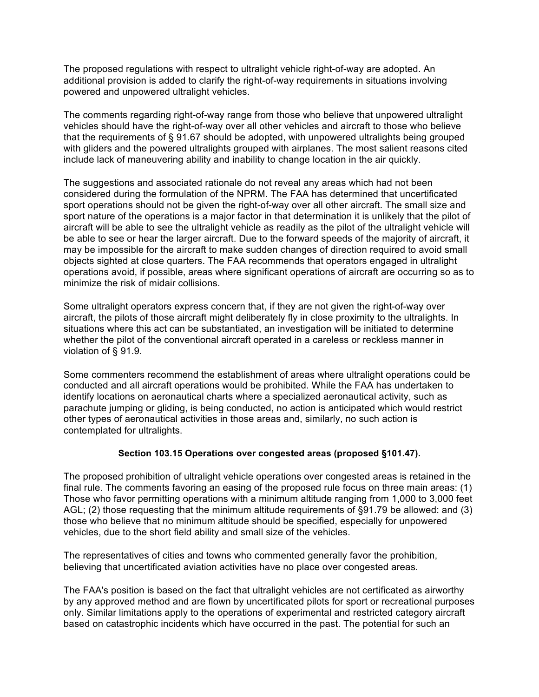The proposed regulations with respect to ultralight vehicle right-of-way are adopted. An additional provision is added to clarify the right-of-way requirements in situations involving powered and unpowered ultralight vehicles.

The comments regarding right-of-way range from those who believe that unpowered ultralight vehicles should have the right-of-way over all other vehicles and aircraft to those who believe that the requirements of § 91.67 should be adopted, with unpowered ultralights being grouped with gliders and the powered ultralights grouped with airplanes. The most salient reasons cited include lack of maneuvering ability and inability to change location in the air quickly.

The suggestions and associated rationale do not reveal any areas which had not been considered during the formulation of the NPRM. The FAA has determined that uncertificated sport operations should not be given the right-of-way over all other aircraft. The small size and sport nature of the operations is a major factor in that determination it is unlikely that the pilot of aircraft will be able to see the ultralight vehicle as readily as the pilot of the ultralight vehicle will be able to see or hear the larger aircraft. Due to the forward speeds of the majority of aircraft, it may be impossible for the aircraft to make sudden changes of direction required to avoid small objects sighted at close quarters. The FAA recommends that operators engaged in ultralight operations avoid, if possible, areas where significant operations of aircraft are occurring so as to minimize the risk of midair collisions.

Some ultralight operators express concern that, if they are not given the right-of-way over aircraft, the pilots of those aircraft might deliberately fly in close proximity to the ultralights. In situations where this act can be substantiated, an investigation will be initiated to determine whether the pilot of the conventional aircraft operated in a careless or reckless manner in violation of § 91.9.

Some commenters recommend the establishment of areas where ultralight operations could be conducted and all aircraft operations would be prohibited. While the FAA has undertaken to identify locations on aeronautical charts where a specialized aeronautical activity, such as parachute jumping or gliding, is being conducted, no action is anticipated which would restrict other types of aeronautical activities in those areas and, similarly, no such action is contemplated for ultralights.

#### **Section 103.15 Operations over congested areas (proposed §101.47).**

The proposed prohibition of ultralight vehicle operations over congested areas is retained in the final rule. The comments favoring an easing of the proposed rule focus on three main areas: (1) Those who favor permitting operations with a minimum altitude ranging from 1,000 to 3,000 feet AGL; (2) those requesting that the minimum altitude requirements of §91.79 be allowed: and (3) those who believe that no minimum altitude should be specified, especially for unpowered vehicles, due to the short field ability and small size of the vehicles.

The representatives of cities and towns who commented generally favor the prohibition, believing that uncertificated aviation activities have no place over congested areas.

The FAA's position is based on the fact that ultralight vehicles are not certificated as airworthy by any approved method and are flown by uncertificated pilots for sport or recreational purposes only. Similar limitations apply to the operations of experimental and restricted category aircraft based on catastrophic incidents which have occurred in the past. The potential for such an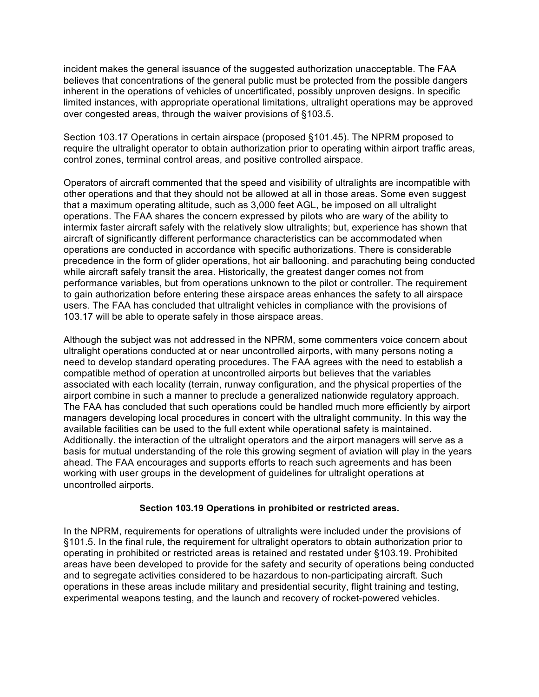incident makes the general issuance of the suggested authorization unacceptable. The FAA believes that concentrations of the general public must be protected from the possible dangers inherent in the operations of vehicles of uncertificated, possibly unproven designs. In specific limited instances, with appropriate operational limitations, ultralight operations may be approved over congested areas, through the waiver provisions of §103.5.

Section 103.17 Operations in certain airspace (proposed §101.45). The NPRM proposed to require the ultralight operator to obtain authorization prior to operating within airport traffic areas, control zones, terminal control areas, and positive controlled airspace.

Operators of aircraft commented that the speed and visibility of ultralights are incompatible with other operations and that they should not be allowed at all in those areas. Some even suggest that a maximum operating altitude, such as 3,000 feet AGL, be imposed on all ultralight operations. The FAA shares the concern expressed by pilots who are wary of the ability to intermix faster aircraft safely with the relatively slow ultralights; but, experience has shown that aircraft of significantly different performance characteristics can be accommodated when operations are conducted in accordance with specific authorizations. There is considerable precedence in the form of glider operations, hot air ballooning. and parachuting being conducted while aircraft safely transit the area. Historically, the greatest danger comes not from performance variables, but from operations unknown to the pilot or controller. The requirement to gain authorization before entering these airspace areas enhances the safety to all airspace users. The FAA has concluded that ultralight vehicles in compliance with the provisions of 103.17 will be able to operate safely in those airspace areas.

Although the subject was not addressed in the NPRM, some commenters voice concern about ultralight operations conducted at or near uncontrolled airports, with many persons noting a need to develop standard operating procedures. The FAA agrees with the need to establish a compatible method of operation at uncontrolled airports but believes that the variables associated with each locality (terrain, runway configuration, and the physical properties of the airport combine in such a manner to preclude a generalized nationwide regulatory approach. The FAA has concluded that such operations could be handled much more efficiently by airport managers developing local procedures in concert with the ultralight community. In this way the available facilities can be used to the full extent while operational safety is maintained. Additionally. the interaction of the ultralight operators and the airport managers will serve as a basis for mutual understanding of the role this growing segment of aviation will play in the years ahead. The FAA encourages and supports efforts to reach such agreements and has been working with user groups in the development of guidelines for ultralight operations at uncontrolled airports.

#### **Section 103.19 Operations in prohibited or restricted areas.**

In the NPRM, requirements for operations of ultralights were included under the provisions of §101.5. In the final rule, the requirement for ultralight operators to obtain authorization prior to operating in prohibited or restricted areas is retained and restated under §103.19. Prohibited areas have been developed to provide for the safety and security of operations being conducted and to segregate activities considered to be hazardous to non-participating aircraft. Such operations in these areas include military and presidential security, flight training and testing, experimental weapons testing, and the launch and recovery of rocket-powered vehicles.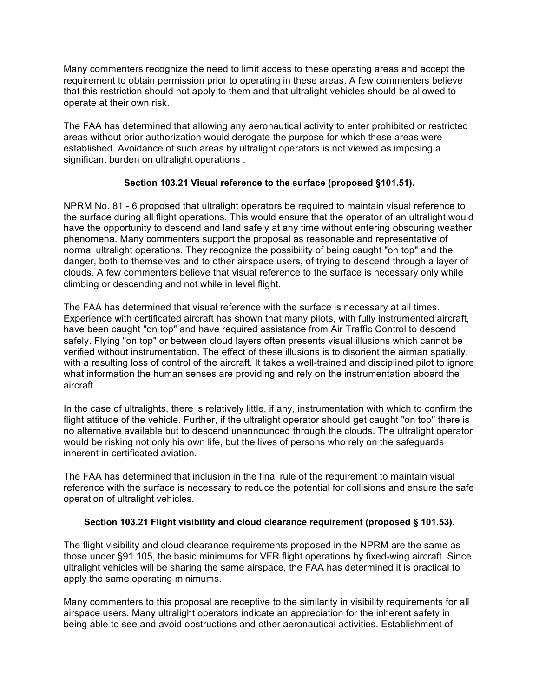Many commenters recognize the need to limit access to these operating areas and accept the requirement to obtain permission prior to operating in these areas. A few commenters believe that this restriction should not apply to them and that ultralight vehicles should be allowed to operate at their own risk.

The FAA has determined that allowing any aeronautical activity to enter prohibited or restricted areas without prior authorization would derogate the purpose for which these areas were established. Avoidance of such areas by ultralight operators is not viewed as imposing a significant burden on ultralight operations .

## **Section 103.21 Visual reference to the surface (proposed §101.51).**

NPRM No. 81 - 6 proposed that ultralight operators be required to maintain visual reference to the surface during all flight operations. This would ensure that the operator of an ultralight would have the opportunity to descend and land safely at any time without entering obscuring weather phenomena. Many commenters support the proposal as reasonable and representative of normal ultralight operations. They recognize the possibility of being caught "on top" and the danger, both to themselves and to other airspace users, of trying to descend through a layer of clouds. A few commenters believe that visual reference to the surface is necessary only while climbing or descending and not while in level flight.

The FAA has determined that visual reference with the surface is necessary at all times. Experience with certificated aircraft has shown that many pilots, with fully instrumented aircraft, have been caught "on top" and have required assistance from Air Traffic Control to descend safely. Flying "on top" or between cloud layers often presents visual illusions which cannot be verified without instrumentation. The effect of these illusions is to disorient the airman spatially, with a resulting loss of control of the aircraft. It takes a well-trained and disciplined pilot to ignore what information the human senses are providing and rely on the instrumentation aboard the aircraft.

In the case of ultralights, there is relatively little, if any, instrumentation with which to confirm the flight attitude of the vehicle. Further, if the ultralight operator should get caught "on top'' there is no alternative available but to descend unannounced through the clouds. The ultralight operator would be risking not only his own life, but the lives of persons who rely on the safeguards inherent in certificated aviation.

The FAA has determined that inclusion in the final rule of the requirement to maintain visual reference with the surface is necessary to reduce the potential for collisions and ensure the safe operation of ultralight vehicles.

#### **Section 103.21 Flight visibility and cloud clearance requirement (proposed § 101.53).**

The flight visibility and cloud clearance requirements proposed in the NPRM are the same as those under §91.105, the basic minimums for VFR flight operations by fixed-wing aircraft. Since ultralight vehicles will be sharing the same airspace, the FAA has determined it is practical to apply the same operating minimums.

Many commenters to this proposal are receptive to the similarity in visibility requirements for all airspace users. Many ultralight operators indicate an appreciation for the inherent safety in being able to see and avoid obstructions and other aeronautical activities. Establishment of